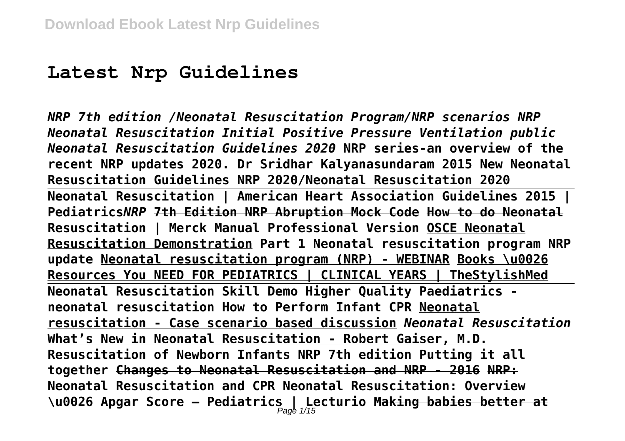# **Latest Nrp Guidelines**

*NRP 7th edition /Neonatal Resuscitation Program/NRP scenarios NRP Neonatal Resuscitation Initial Positive Pressure Ventilation public Neonatal Resuscitation Guidelines 2020* **NRP series-an overview of the recent NRP updates 2020. Dr Sridhar Kalyanasundaram 2015 New Neonatal Resuscitation Guidelines NRP 2020/Neonatal Resuscitation 2020 Neonatal Resuscitation | American Heart Association Guidelines 2015 | Pediatrics***NRP* **7th Edition NRP Abruption Mock Code How to do Neonatal Resuscitation | Merck Manual Professional Version OSCE Neonatal Resuscitation Demonstration Part 1 Neonatal resuscitation program NRP update Neonatal resuscitation program (NRP) - WEBINAR Books \u0026 Resources You NEED FOR PEDIATRICS | CLINICAL YEARS | TheStylishMed Neonatal Resuscitation Skill Demo Higher Quality Paediatrics neonatal resuscitation How to Perform Infant CPR Neonatal resuscitation - Case scenario based discussion** *Neonatal Resuscitation* **What's New in Neonatal Resuscitation - Robert Gaiser, M.D. Resuscitation of Newborn Infants NRP 7th edition Putting it all together Changes to Neonatal Resuscitation and NRP - 2016 NRP: Neonatal Resuscitation and CPR Neonatal Resuscitation: Overview \u0026 Apgar Score – Pediatrics | Lecturio Making babies better at** Page 1/15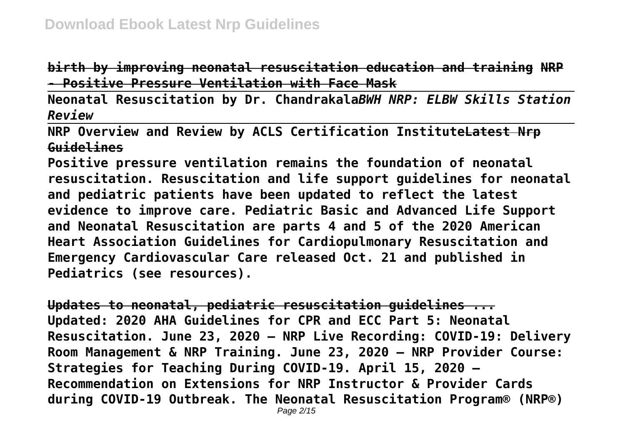**birth by improving neonatal resuscitation education and training NRP - Positive Pressure Ventilation with Face Mask**

**Neonatal Resuscitation by Dr. Chandrakala***BWH NRP: ELBW Skills Station Review*

**NRP Overview and Review by ACLS Certification InstituteLatest Nrp Guidelines**

**Positive pressure ventilation remains the foundation of neonatal resuscitation. Resuscitation and life support guidelines for neonatal and pediatric patients have been updated to reflect the latest evidence to improve care. Pediatric Basic and Advanced Life Support and Neonatal Resuscitation are parts 4 and 5 of the 2020 American Heart Association Guidelines for Cardiopulmonary Resuscitation and Emergency Cardiovascular Care released Oct. 21 and published in Pediatrics (see resources).**

**Updates to neonatal, pediatric resuscitation guidelines ... Updated: 2020 AHA Guidelines for CPR and ECC Part 5: Neonatal Resuscitation. June 23, 2020 – NRP Live Recording: COVID-19: Delivery Room Management & NRP Training. June 23, 2020 – NRP Provider Course: Strategies for Teaching During COVID-19. April 15, 2020 – Recommendation on Extensions for NRP Instructor & Provider Cards during COVID-19 Outbreak. The Neonatal Resuscitation Program® (NRP®)**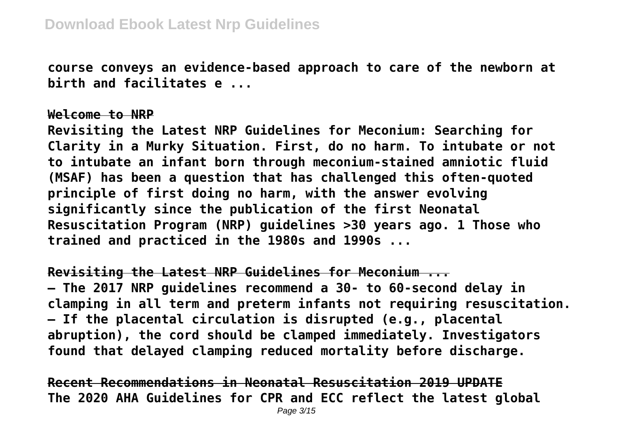**course conveys an evidence-based approach to care of the newborn at birth and facilitates e ...**

#### **Welcome to NRP**

**Revisiting the Latest NRP Guidelines for Meconium: Searching for Clarity in a Murky Situation. First, do no harm. To intubate or not to intubate an infant born through meconium-stained amniotic fluid (MSAF) has been a question that has challenged this often-quoted principle of first doing no harm, with the answer evolving significantly since the publication of the first Neonatal Resuscitation Program (NRP) guidelines >30 years ago. 1 Those who trained and practiced in the 1980s and 1990s ...**

**Revisiting the Latest NRP Guidelines for Meconium ...**

**– The 2017 NRP guidelines recommend a 30- to 60-second delay in clamping in all term and preterm infants not requiring resuscitation. – If the placental circulation is disrupted (e.g., placental abruption), the cord should be clamped immediately. Investigators found that delayed clamping reduced mortality before discharge.**

**Recent Recommendations in Neonatal Resuscitation 2019 UPDATE The 2020 AHA Guidelines for CPR and ECC reflect the latest global**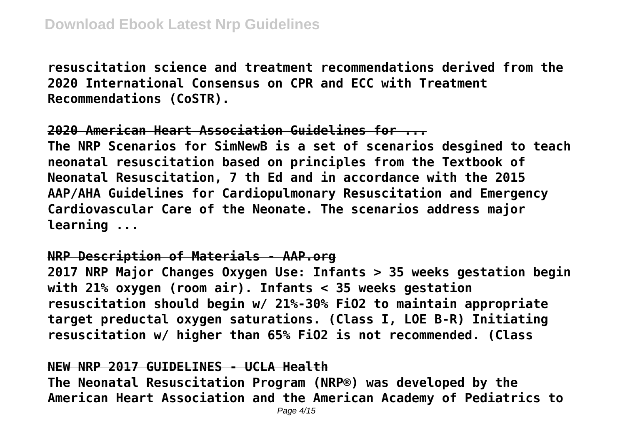**resuscitation science and treatment recommendations derived from the 2020 International Consensus on CPR and ECC with Treatment Recommendations (CoSTR).**

# **2020 American Heart Association Guidelines for ...**

**The NRP Scenarios for SimNewB is a set of scenarios desgined to teach neonatal resuscitation based on principles from the Textbook of Neonatal Resuscitation, 7 th Ed and in accordance with the 2015 AAP/AHA Guidelines for Cardiopulmonary Resuscitation and Emergency Cardiovascular Care of the Neonate. The scenarios address major learning ...**

## **NRP Description of Materials - AAP.org**

**2017 NRP Major Changes Oxygen Use: Infants > 35 weeks gestation begin with 21% oxygen (room air). Infants < 35 weeks gestation resuscitation should begin w/ 21%-30% FiO2 to maintain appropriate target preductal oxygen saturations. (Class I, LOE B-R) Initiating resuscitation w/ higher than 65% FiO2 is not recommended. (Class**

# **NEW NRP 2017 GUIDELINES - UCLA Health**

**The Neonatal Resuscitation Program (NRP®) was developed by the American Heart Association and the American Academy of Pediatrics to**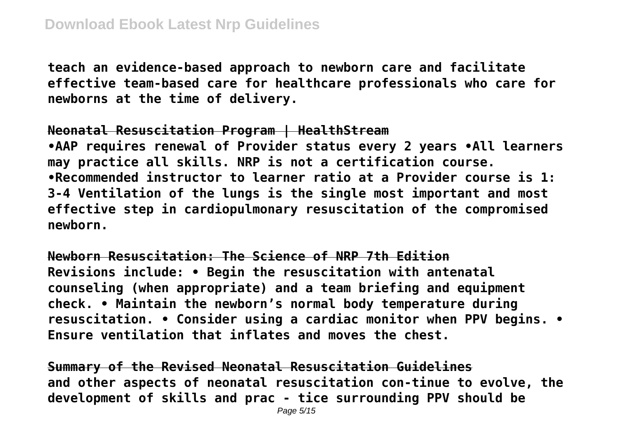**teach an evidence-based approach to newborn care and facilitate effective team-based care for healthcare professionals who care for newborns at the time of delivery.**

#### **Neonatal Resuscitation Program | HealthStream**

**•AAP requires renewal of Provider status every 2 years •All learners may practice all skills. NRP is not a certification course. •Recommended instructor to learner ratio at a Provider course is 1: 3-4 Ventilation of the lungs is the single most important and most effective step in cardiopulmonary resuscitation of the compromised newborn.**

**Newborn Resuscitation: The Science of NRP 7th Edition Revisions include: • Begin the resuscitation with antenatal counseling (when appropriate) and a team briefing and equipment check. • Maintain the newborn's normal body temperature during resuscitation. • Consider using a cardiac monitor when PPV begins. • Ensure ventilation that inflates and moves the chest.**

**Summary of the Revised Neonatal Resuscitation Guidelines and other aspects of neonatal resuscitation con-tinue to evolve, the development of skills and prac - tice surrounding PPV should be**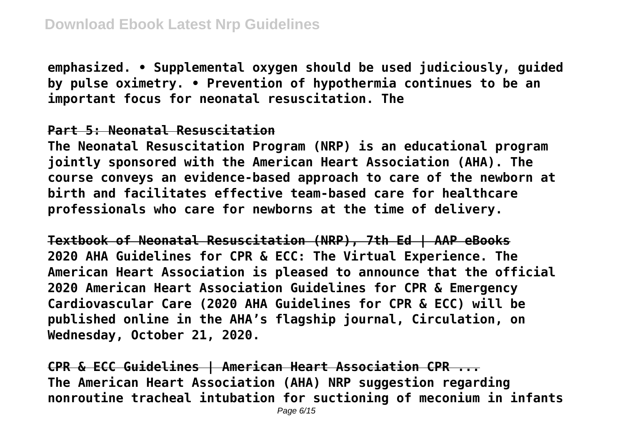**emphasized. • Supplemental oxygen should be used judiciously, guided by pulse oximetry. • Prevention of hypothermia continues to be an important focus for neonatal resuscitation. The**

## **Part 5: Neonatal Resuscitation**

**The Neonatal Resuscitation Program (NRP) is an educational program jointly sponsored with the American Heart Association (AHA). The course conveys an evidence-based approach to care of the newborn at birth and facilitates effective team-based care for healthcare professionals who care for newborns at the time of delivery.**

**Textbook of Neonatal Resuscitation (NRP), 7th Ed | AAP eBooks 2020 AHA Guidelines for CPR & ECC: The Virtual Experience. The American Heart Association is pleased to announce that the official 2020 American Heart Association Guidelines for CPR & Emergency Cardiovascular Care (2020 AHA Guidelines for CPR & ECC) will be published online in the AHA's flagship journal, Circulation, on Wednesday, October 21, 2020.**

**CPR & ECC Guidelines | American Heart Association CPR ... The American Heart Association (AHA) NRP suggestion regarding nonroutine tracheal intubation for suctioning of meconium in infants**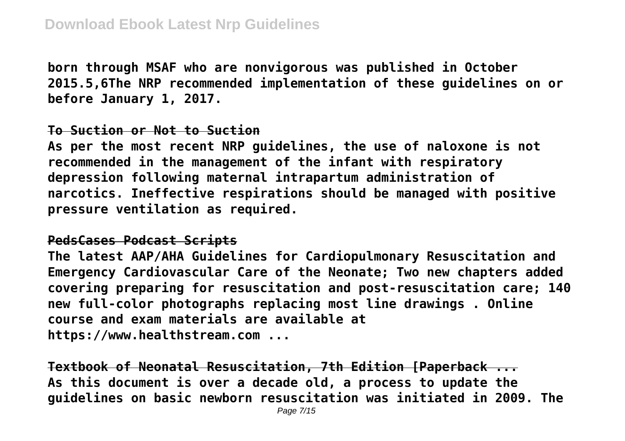**born through MSAF who are nonvigorous was published in October 2015.5,6The NRP recommended implementation of these guidelines on or before January 1, 2017.**

#### **To Suction or Not to Suction**

**As per the most recent NRP guidelines, the use of naloxone is not recommended in the management of the infant with respiratory depression following maternal intrapartum administration of narcotics. Ineffective respirations should be managed with positive pressure ventilation as required.**

#### **PedsCases Podcast Scripts**

**The latest AAP/AHA Guidelines for Cardiopulmonary Resuscitation and Emergency Cardiovascular Care of the Neonate; Two new chapters added covering preparing for resuscitation and post-resuscitation care; 140 new full-color photographs replacing most line drawings . Online course and exam materials are available at https://www.healthstream.com ...**

**Textbook of Neonatal Resuscitation, 7th Edition [Paperback ... As this document is over a decade old, a process to update the guidelines on basic newborn resuscitation was initiated in 2009. The**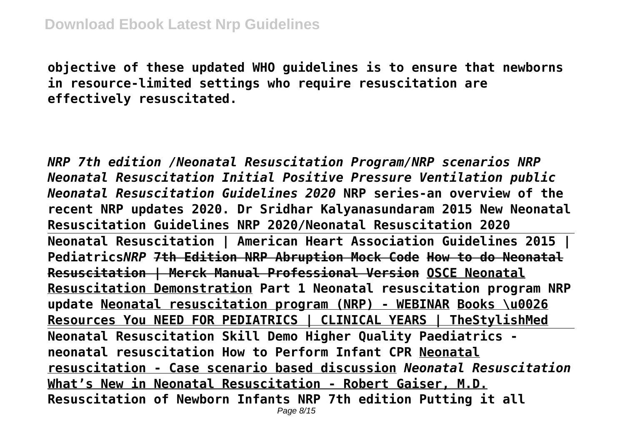**objective of these updated WHO guidelines is to ensure that newborns in resource-limited settings who require resuscitation are effectively resuscitated.**

*NRP 7th edition /Neonatal Resuscitation Program/NRP scenarios NRP Neonatal Resuscitation Initial Positive Pressure Ventilation public Neonatal Resuscitation Guidelines 2020* **NRP series-an overview of the recent NRP updates 2020. Dr Sridhar Kalyanasundaram 2015 New Neonatal Resuscitation Guidelines NRP 2020/Neonatal Resuscitation 2020 Neonatal Resuscitation | American Heart Association Guidelines 2015 | Pediatrics***NRP* **7th Edition NRP Abruption Mock Code How to do Neonatal Resuscitation | Merck Manual Professional Version OSCE Neonatal Resuscitation Demonstration Part 1 Neonatal resuscitation program NRP update Neonatal resuscitation program (NRP) - WEBINAR Books \u0026 Resources You NEED FOR PEDIATRICS | CLINICAL YEARS | TheStylishMed Neonatal Resuscitation Skill Demo Higher Quality Paediatrics neonatal resuscitation How to Perform Infant CPR Neonatal resuscitation - Case scenario based discussion** *Neonatal Resuscitation* **What's New in Neonatal Resuscitation - Robert Gaiser, M.D. Resuscitation of Newborn Infants NRP 7th edition Putting it all** Page 8/15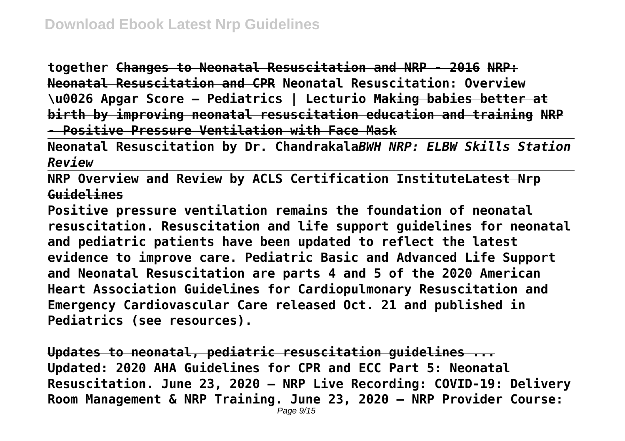**together Changes to Neonatal Resuscitation and NRP - 2016 NRP: Neonatal Resuscitation and CPR Neonatal Resuscitation: Overview \u0026 Apgar Score – Pediatrics | Lecturio Making babies better at birth by improving neonatal resuscitation education and training NRP - Positive Pressure Ventilation with Face Mask**

**Neonatal Resuscitation by Dr. Chandrakala***BWH NRP: ELBW Skills Station Review*

**NRP Overview and Review by ACLS Certification InstituteLatest Nrp Guidelines**

**Positive pressure ventilation remains the foundation of neonatal resuscitation. Resuscitation and life support guidelines for neonatal and pediatric patients have been updated to reflect the latest evidence to improve care. Pediatric Basic and Advanced Life Support and Neonatal Resuscitation are parts 4 and 5 of the 2020 American Heart Association Guidelines for Cardiopulmonary Resuscitation and Emergency Cardiovascular Care released Oct. 21 and published in Pediatrics (see resources).**

**Updates to neonatal, pediatric resuscitation guidelines ... Updated: 2020 AHA Guidelines for CPR and ECC Part 5: Neonatal Resuscitation. June 23, 2020 – NRP Live Recording: COVID-19: Delivery Room Management & NRP Training. June 23, 2020 – NRP Provider Course:**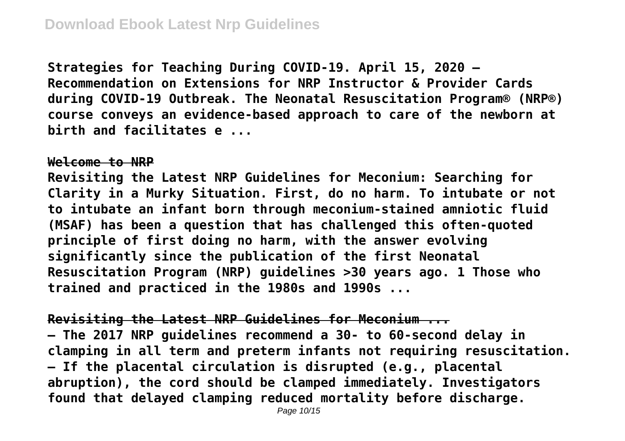**Strategies for Teaching During COVID-19. April 15, 2020 – Recommendation on Extensions for NRP Instructor & Provider Cards during COVID-19 Outbreak. The Neonatal Resuscitation Program® (NRP®) course conveys an evidence-based approach to care of the newborn at birth and facilitates e ...**

#### **Welcome to NRP**

**Revisiting the Latest NRP Guidelines for Meconium: Searching for Clarity in a Murky Situation. First, do no harm. To intubate or not to intubate an infant born through meconium-stained amniotic fluid (MSAF) has been a question that has challenged this often-quoted principle of first doing no harm, with the answer evolving significantly since the publication of the first Neonatal Resuscitation Program (NRP) guidelines >30 years ago. 1 Those who trained and practiced in the 1980s and 1990s ...**

**Revisiting the Latest NRP Guidelines for Meconium ...**

**– The 2017 NRP guidelines recommend a 30- to 60-second delay in clamping in all term and preterm infants not requiring resuscitation. – If the placental circulation is disrupted (e.g., placental abruption), the cord should be clamped immediately. Investigators found that delayed clamping reduced mortality before discharge.**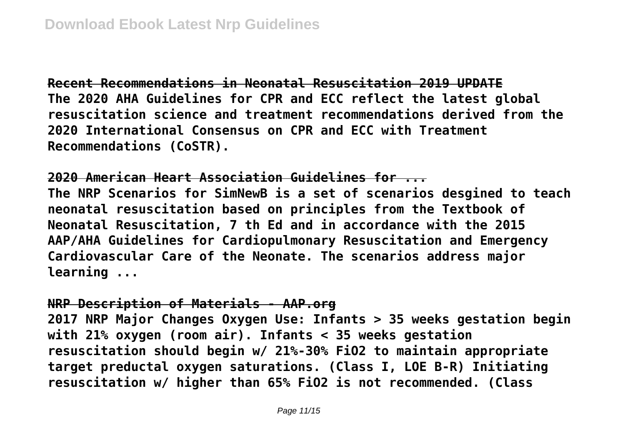**Recent Recommendations in Neonatal Resuscitation 2019 UPDATE The 2020 AHA Guidelines for CPR and ECC reflect the latest global resuscitation science and treatment recommendations derived from the 2020 International Consensus on CPR and ECC with Treatment Recommendations (CoSTR).**

**2020 American Heart Association Guidelines for ...**

**The NRP Scenarios for SimNewB is a set of scenarios desgined to teach neonatal resuscitation based on principles from the Textbook of Neonatal Resuscitation, 7 th Ed and in accordance with the 2015 AAP/AHA Guidelines for Cardiopulmonary Resuscitation and Emergency Cardiovascular Care of the Neonate. The scenarios address major learning ...**

## **NRP Description of Materials - AAP.org**

**2017 NRP Major Changes Oxygen Use: Infants > 35 weeks gestation begin with 21% oxygen (room air). Infants < 35 weeks gestation resuscitation should begin w/ 21%-30% FiO2 to maintain appropriate target preductal oxygen saturations. (Class I, LOE B-R) Initiating resuscitation w/ higher than 65% FiO2 is not recommended. (Class**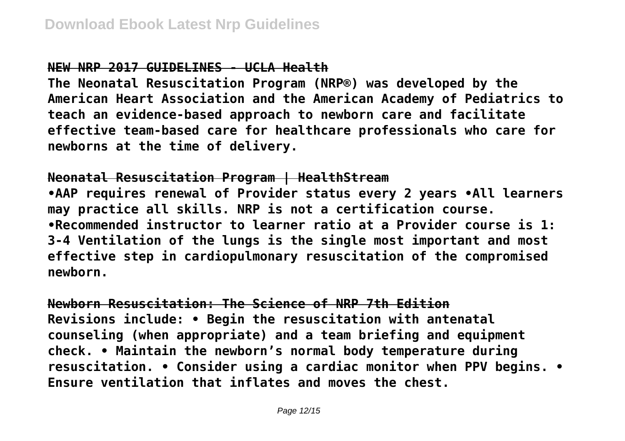# **NEW NRP 2017 GUIDELINES - UCLA Health**

**The Neonatal Resuscitation Program (NRP®) was developed by the American Heart Association and the American Academy of Pediatrics to teach an evidence-based approach to newborn care and facilitate effective team-based care for healthcare professionals who care for newborns at the time of delivery.**

# **Neonatal Resuscitation Program | HealthStream**

**•AAP requires renewal of Provider status every 2 years •All learners may practice all skills. NRP is not a certification course. •Recommended instructor to learner ratio at a Provider course is 1: 3-4 Ventilation of the lungs is the single most important and most effective step in cardiopulmonary resuscitation of the compromised newborn.**

**Newborn Resuscitation: The Science of NRP 7th Edition Revisions include: • Begin the resuscitation with antenatal counseling (when appropriate) and a team briefing and equipment check. • Maintain the newborn's normal body temperature during resuscitation. • Consider using a cardiac monitor when PPV begins. • Ensure ventilation that inflates and moves the chest.**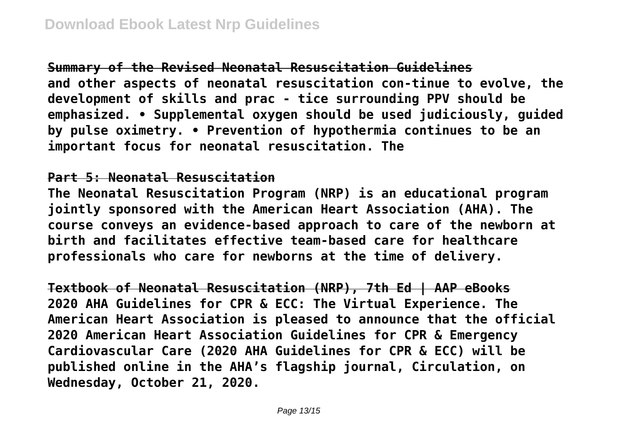**Summary of the Revised Neonatal Resuscitation Guidelines and other aspects of neonatal resuscitation con-tinue to evolve, the development of skills and prac - tice surrounding PPV should be emphasized. • Supplemental oxygen should be used judiciously, guided by pulse oximetry. • Prevention of hypothermia continues to be an important focus for neonatal resuscitation. The**

# **Part 5: Neonatal Resuscitation**

**The Neonatal Resuscitation Program (NRP) is an educational program jointly sponsored with the American Heart Association (AHA). The course conveys an evidence-based approach to care of the newborn at birth and facilitates effective team-based care for healthcare professionals who care for newborns at the time of delivery.**

**Textbook of Neonatal Resuscitation (NRP), 7th Ed | AAP eBooks 2020 AHA Guidelines for CPR & ECC: The Virtual Experience. The American Heart Association is pleased to announce that the official 2020 American Heart Association Guidelines for CPR & Emergency Cardiovascular Care (2020 AHA Guidelines for CPR & ECC) will be published online in the AHA's flagship journal, Circulation, on Wednesday, October 21, 2020.**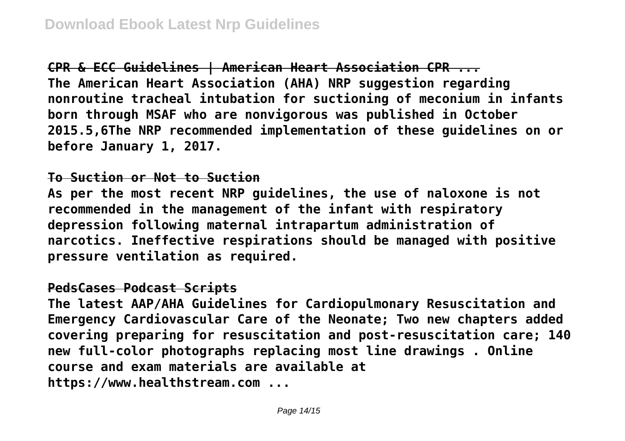**CPR & ECC Guidelines | American Heart Association CPR ... The American Heart Association (AHA) NRP suggestion regarding nonroutine tracheal intubation for suctioning of meconium in infants born through MSAF who are nonvigorous was published in October 2015.5,6The NRP recommended implementation of these guidelines on or before January 1, 2017.**

# **To Suction or Not to Suction**

**As per the most recent NRP guidelines, the use of naloxone is not recommended in the management of the infant with respiratory depression following maternal intrapartum administration of narcotics. Ineffective respirations should be managed with positive pressure ventilation as required.**

# **PedsCases Podcast Scripts**

**The latest AAP/AHA Guidelines for Cardiopulmonary Resuscitation and Emergency Cardiovascular Care of the Neonate; Two new chapters added covering preparing for resuscitation and post-resuscitation care; 140 new full-color photographs replacing most line drawings . Online course and exam materials are available at https://www.healthstream.com ...**